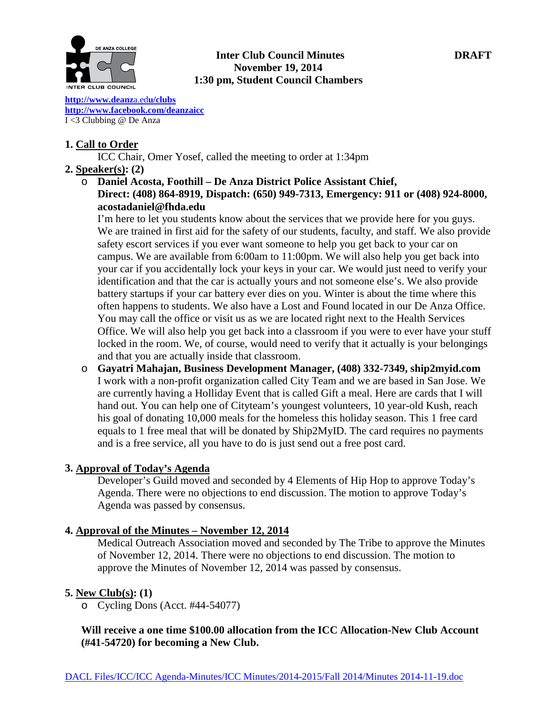

### **Inter Club Council Minutes DRAFT November 19, 2014 1:30 pm, Student Council Chambers**

**[http://www.deanz](http://www.deanza.edu/clubs)**a.ed**u/clubs [http://www.facebook.com/deanzaicc](http://www.facebook.com/home.php%23!/group.php?gid=59034552686)** I <3 Clubbing @ De Anza

# **1. Call to Order**

ICC Chair, Omer Yosef, called the meeting to order at 1:34pm

# **2. Speaker(s): (2)**

o **Daniel Acosta, Foothill – De Anza District Police Assistant Chief, Direct: (408) 864-8919, Dispatch: (650) 949-7313, Emergency: 911 or (408) 924-8000,** 

# **acostadaniel@fhda.edu**

I'm here to let you students know about the services that we provide here for you guys. We are trained in first aid for the safety of our students, faculty, and staff. We also provide safety escort services if you ever want someone to help you get back to your car on campus. We are available from 6:00am to 11:00pm. We will also help you get back into your car if you accidentally lock your keys in your car. We would just need to verify your identification and that the car is actually yours and not someone else's. We also provide battery startups if your car battery ever dies on you. Winter is about the time where this often happens to students. We also have a Lost and Found located in our De Anza Office. You may call the office or visit us as we are located right next to the Health Services Office. We will also help you get back into a classroom if you were to ever have your stuff locked in the room. We, of course, would need to verify that it actually is your belongings and that you are actually inside that classroom.

o **Gayatri Mahajan, Business Development Manager, (408) 332-7349, ship2myid.com** I work with a non-profit organization called City Team and we are based in San Jose. We are currently having a Holliday Event that is called Gift a meal. Here are cards that I will hand out. You can help one of Cityteam's youngest volunteers, 10 year-old Kush, reach his goal of donating 10,000 meals for the homeless this holiday season. This 1 free card equals to 1 free meal that will be donated by Ship2MyID. The card requires no payments and is a free service, all you have to do is just send out a free post card.

# **3. Approval of Today's Agenda**

Developer's Guild moved and seconded by 4 Elements of Hip Hop to approve Today's Agenda. There were no objections to end discussion. The motion to approve Today's Agenda was passed by consensus.

# **4. Approval of the Minutes – November 12, 2014**

Medical Outreach Association moved and seconded by The Tribe to approve the Minutes of November 12, 2014. There were no objections to end discussion. The motion to approve the Minutes of November 12, 2014 was passed by consensus.

# **5. New Club(s): (1)**

o Cycling Dons (Acct. #44-54077)

# **Will receive a one time \$100.00 allocation from the ICC Allocation-New Club Account (#41-54720) for becoming a New Club.**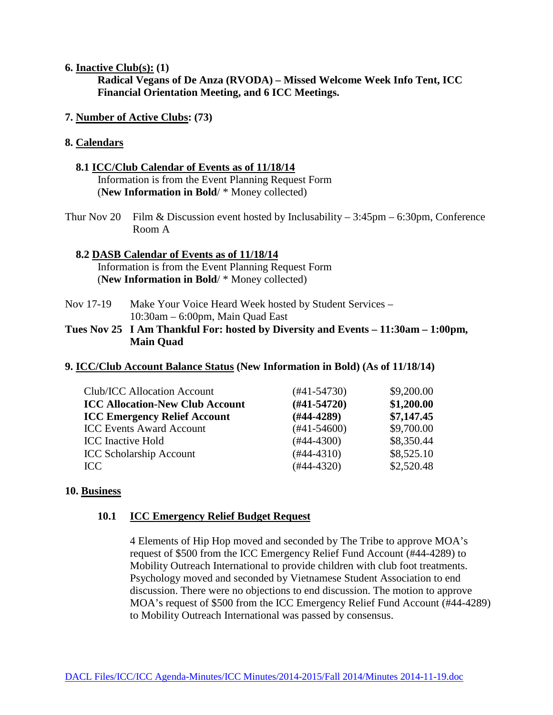### **6. Inactive Club(s): (1)**

**Radical Vegans of De Anza (RVODA) – Missed Welcome Week Info Tent, ICC Financial Orientation Meeting, and 6 ICC Meetings.**

### **7. Number of Active Clubs: (73)**

### **8. Calendars**

### **8.1 ICC/Club Calendar of Events as of 11/18/14** Information is from the Event Planning Request Form (**New Information in Bold**/ \* Money collected)

Thur Nov 20 Film & Discussion event hosted by Inclusability  $-3:45$  pm  $-6:30$  pm, Conference Room A

### **8.2 DASB Calendar of Events as of 11/18/14** Information is from the Event Planning Request Form (**New Information in Bold**/ \* Money collected)

Nov 17-19 Make Your Voice Heard Week hosted by Student Services – 10:30am – 6:00pm, Main Quad East

# **Tues Nov 25 I Am Thankful For: hosted by Diversity and Events – 11:30am – 1:00pm, Main Quad**

### **9. ICC/Club Account Balance Status (New Information in Bold) (As of 11/18/14)**

| Club/ICC Allocation Account            | $(\#41 - 54730)$ | \$9,200.00 |
|----------------------------------------|------------------|------------|
| <b>ICC Allocation-New Club Account</b> | $(#41-54720)$    | \$1,200.00 |
| <b>ICC Emergency Relief Account</b>    | $(H44-4289)$     | \$7,147.45 |
| <b>ICC Events Award Account</b>        | $(#41-54600)$    | \$9,700.00 |
| <b>ICC</b> Inactive Hold               | $(#44-4300)$     | \$8,350.44 |
| <b>ICC Scholarship Account</b>         | $(#44-4310)$     | \$8,525.10 |
| ICC.                                   | $(#44-4320)$     | \$2,520.48 |
|                                        |                  |            |

### **10. Business**

### **10.1 ICC Emergency Relief Budget Request**

4 Elements of Hip Hop moved and seconded by The Tribe to approve MOA's request of \$500 from the ICC Emergency Relief Fund Account (#44-4289) to Mobility Outreach International to provide children with club foot treatments. Psychology moved and seconded by Vietnamese Student Association to end discussion. There were no objections to end discussion. The motion to approve MOA's request of \$500 from the ICC Emergency Relief Fund Account (#44-4289) to Mobility Outreach International was passed by consensus.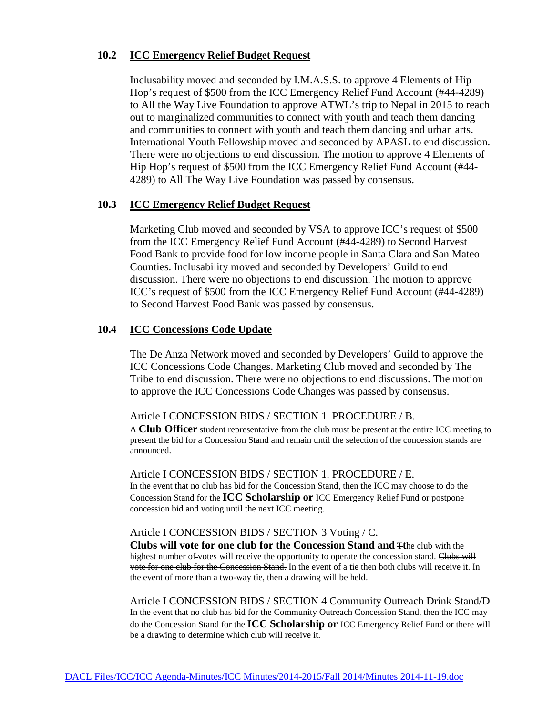### **10.2 ICC Emergency Relief Budget Request**

Inclusability moved and seconded by I.M.A.S.S. to approve 4 Elements of Hip Hop's request of \$500 from the ICC Emergency Relief Fund Account (#44-4289) to All the Way Live Foundation to approve ATWL's trip to Nepal in 2015 to reach out to marginalized communities to connect with youth and teach them dancing and communities to connect with youth and teach them dancing and urban arts. International Youth Fellowship moved and seconded by APASL to end discussion. There were no objections to end discussion. The motion to approve 4 Elements of Hip Hop's request of \$500 from the ICC Emergency Relief Fund Account (#44- 4289) to All The Way Live Foundation was passed by consensus.

### **10.3 ICC Emergency Relief Budget Request**

Marketing Club moved and seconded by VSA to approve ICC's request of \$500 from the ICC Emergency Relief Fund Account (#44-4289) to Second Harvest Food Bank to provide food for low income people in Santa Clara and San Mateo Counties. Inclusability moved and seconded by Developers' Guild to end discussion. There were no objections to end discussion. The motion to approve ICC's request of \$500 from the ICC Emergency Relief Fund Account (#44-4289) to Second Harvest Food Bank was passed by consensus.

### **10.4 ICC Concessions Code Update**

The De Anza Network moved and seconded by Developers' Guild to approve the ICC Concessions Code Changes. Marketing Club moved and seconded by The Tribe to end discussion. There were no objections to end discussions. The motion to approve the ICC Concessions Code Changes was passed by consensus.

### Article I CONCESSION BIDS / SECTION 1. PROCEDURE / B.

A **Club Officer** student representative from the club must be present at the entire ICC meeting to present the bid for a Concession Stand and remain until the selection of the concession stands are announced.

#### Article I CONCESSION BIDS / SECTION 1. PROCEDURE / E.

In the event that no club has bid for the Concession Stand, then the ICC may choose to do the Concession Stand for the **ICC Scholarship or** ICC Emergency Relief Fund or postpone concession bid and voting until the next ICC meeting.

### Article I CONCESSION BIDS / SECTION 3 Voting / C.

**Clubs will vote for one club for the Concession Stand and** T**t**he club with the highest number of votes will receive the opportunity to operate the concession stand. Clubs will vote for one club for the Concession Stand. In the event of a tie then both clubs will receive it. In the event of more than a two-way tie, then a drawing will be held.

Article I CONCESSION BIDS / SECTION 4 Community Outreach Drink Stand/D In the event that no club has bid for the Community Outreach Concession Stand, then the ICC may do the Concession Stand for the **ICC Scholarship or** ICC Emergency Relief Fund or there will be a drawing to determine which club will receive it.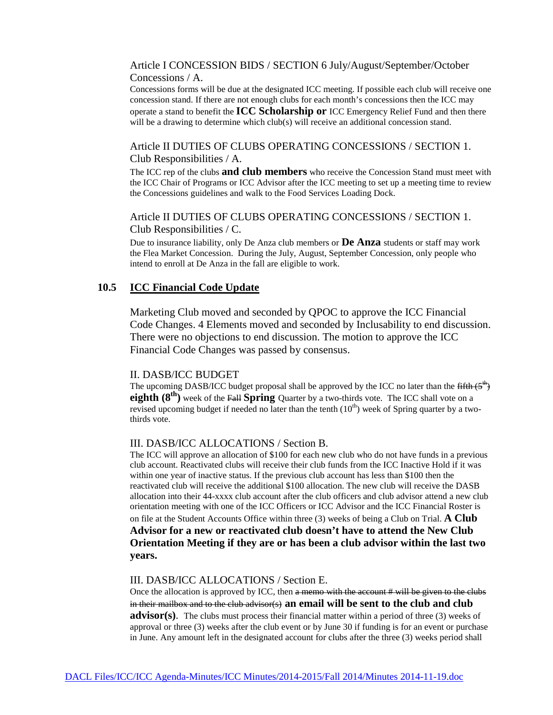### Article I CONCESSION BIDS / SECTION 6 July/August/September/October Concessions / A.

Concessions forms will be due at the designated ICC meeting. If possible each club will receive one concession stand. If there are not enough clubs for each month's concessions then the ICC may operate a stand to benefit the **ICC Scholarship or** ICC Emergency Relief Fund and then there will be a drawing to determine which club(s) will receive an additional concession stand.

### Article II DUTIES OF CLUBS OPERATING CONCESSIONS / SECTION 1. Club Responsibilities / A.

The ICC rep of the clubs **and club members** who receive the Concession Stand must meet with the ICC Chair of Programs or ICC Advisor after the ICC meeting to set up a meeting time to review the Concessions guidelines and walk to the Food Services Loading Dock.

### Article II DUTIES OF CLUBS OPERATING CONCESSIONS / SECTION 1. Club Responsibilities / C.

Due to insurance liability, only De Anza club members or **De Anza** students or staff may work the Flea Market Concession. During the July, August, September Concession, only people who intend to enroll at De Anza in the fall are eligible to work.

### **10.5 ICC Financial Code Update**

Marketing Club moved and seconded by QPOC to approve the ICC Financial Code Changes. 4 Elements moved and seconded by Inclusability to end discussion. There were no objections to end discussion. The motion to approve the ICC Financial Code Changes was passed by consensus.

### II. DASB/ICC BUDGET

The upcoming DASB/ICC budget proposal shall be approved by the ICC no later than the  $\frac{f\{f\{h\}}}{f}$ **eighth (8th)** week of the Fall **Spring** Quarter by a two-thirds vote. The ICC shall vote on a revised upcoming budget if needed no later than the tenth  $(10<sup>th</sup>)$  week of Spring quarter by a twothirds vote.

### III. DASB/ICC ALLOCATIONS / Section B.

The ICC will approve an allocation of \$100 for each new club who do not have funds in a previous club account. Reactivated clubs will receive their club funds from the ICC Inactive Hold if it was within one year of inactive status. If the previous club account has less than \$100 then the reactivated club will receive the additional \$100 allocation. The new club will receive the DASB allocation into their 44-xxxx club account after the club officers and club advisor attend a new club orientation meeting with one of the ICC Officers or ICC Advisor and the ICC Financial Roster is on file at the Student Accounts Office within three (3) weeks of being a Club on Trial. **A Club Advisor for a new or reactivated club doesn't have to attend the New Club Orientation Meeting if they are or has been a club advisor within the last two years.**

### III. DASB/ICC ALLOCATIONS / Section E.

Once the allocation is approved by ICC, then a memo with the account # will be given to the clubs in their mailbox and to the club advisor(s) **an email will be sent to the club and club advisor(s)**. The clubs must process their financial matter within a period of three (3) weeks of approval or three (3) weeks after the club event or by June 30 if funding is for an event or purchase in June. Any amount left in the designated account for clubs after the three (3) weeks period shall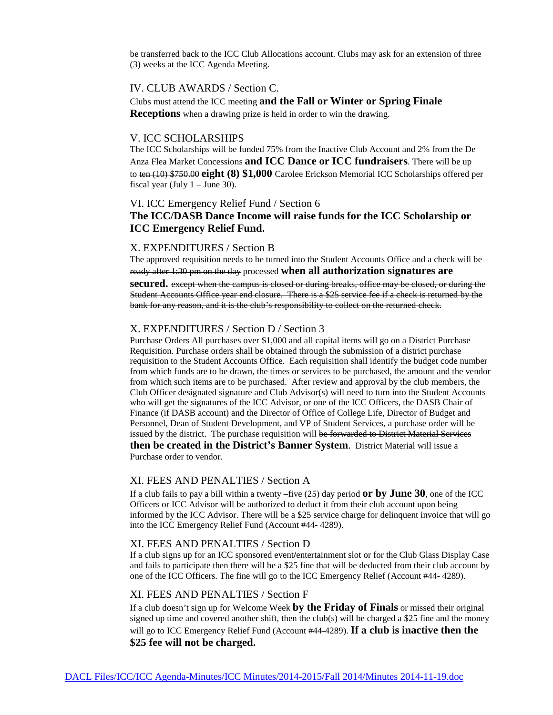be transferred back to the ICC Club Allocations account. Clubs may ask for an extension of three (3) weeks at the ICC Agenda Meeting.

### IV. CLUB AWARDS / Section C.

Clubs must attend the ICC meeting **and the Fall or Winter or Spring Finale Receptions** when a drawing prize is held in order to win the drawing.

#### V. ICC SCHOLARSHIPS

The ICC Scholarships will be funded 75% from the Inactive Club Account and 2% from the De Anza Flea Market Concessions **and ICC Dance or ICC fundraisers**. There will be up to ten (10) \$750.00 **eight (8) \$1,000** Carolee Erickson Memorial ICC Scholarships offered per fiscal year (July  $1 -$  June 30).

#### VI. ICC Emergency Relief Fund / Section 6

### **The ICC/DASB Dance Income will raise funds for the ICC Scholarship or ICC Emergency Relief Fund.**

#### X. EXPENDITURES / Section B

The approved requisition needs to be turned into the Student Accounts Office and a check will be ready after 1:30 pm on the day processed **when all authorization signatures are** 

**secured.** except when the campus is closed or during breaks, office may be closed, or during the Student Accounts Office year end closure. There is a \$25 service fee if a check is returned by the bank for any reason, and it is the club's responsibility to collect on the returned check.

#### X. EXPENDITURES / Section D / Section 3

Purchase Orders All purchases over \$1,000 and all capital items will go on a District Purchase Requisition. Purchase orders shall be obtained through the submission of a district purchase requisition to the Student Accounts Office. Each requisition shall identify the budget code number from which funds are to be drawn, the times or services to be purchased, the amount and the vendor from which such items are to be purchased. After review and approval by the club members, the Club Officer designated signature and Club Advisor(s) will need to turn into the Student Accounts who will get the signatures of the ICC Advisor, or one of the ICC Officers, the DASB Chair of Finance (if DASB account) and the Director of Office of College Life, Director of Budget and Personnel, Dean of Student Development, and VP of Student Services, a purchase order will be issued by the district. The purchase requisition will be forwarded to District Material Services **then be created in the District's Banner System**. District Material will issue a Purchase order to vendor.

#### XI. FEES AND PENALTIES / Section A

If a club fails to pay a bill within a twenty –five (25) day period **or by June 30**, one of the ICC Officers or ICC Advisor will be authorized to deduct it from their club account upon being informed by the ICC Advisor. There will be a \$25 service charge for delinquent invoice that will go into the ICC Emergency Relief Fund (Account #44- 4289).

#### XI. FEES AND PENALTIES / Section D

If a club signs up for an ICC sponsored event**/**entertainment slot or for the Club Glass Display Case and fails to participate then there will be a \$25 fine that will be deducted from their club account by one of the ICC Officers. The fine will go to the ICC Emergency Relief (Account #44- 4289).

#### XI. FEES AND PENALTIES / Section F

If a club doesn't sign up for Welcome Week **by the Friday of Finals** or missed their original signed up time and covered another shift, then the club(s) will be charged a \$25 fine and the money will go to ICC Emergency Relief Fund (Account #44-4289). **If a club is inactive then the \$25 fee will not be charged.**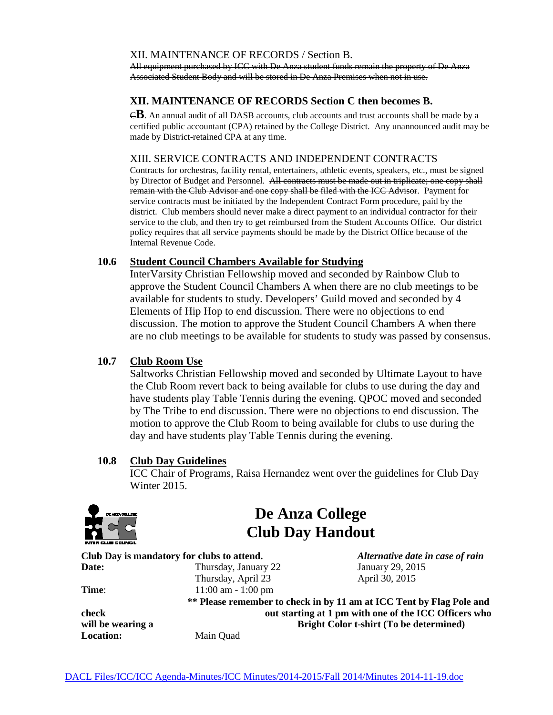All equipment purchased by ICC with De Anza student funds remain the property of De Anza Associated Student Body and will be stored in De Anza Premises when not in use.

# **XII. MAINTENANCE OF RECORDS Section C then becomes B.**

C**B**. An annual audit of all DASB accounts, club accounts and trust accounts shall be made by a certified public accountant (CPA) retained by the College District. Any unannounced audit may be made by District-retained CPA at any time.

### XIII. SERVICE CONTRACTS AND INDEPENDENT CONTRACTS

Contracts for orchestras, facility rental, entertainers, athletic events, speakers, etc., must be signed by Director of Budget and Personnel. All contracts must be made out in triplicate; one copy shall remain with the Club Advisor and one copy shall be filed with the ICC Advisor. Payment for service contracts must be initiated by the Independent Contract Form procedure, paid by the district. Club members should never make a direct payment to an individual contractor for their service to the club, and then try to get reimbursed from the Student Accounts Office. Our district policy requires that all service payments should be made by the District Office because of the Internal Revenue Code.

### **10.6 Student Council Chambers Available for Studying**

InterVarsity Christian Fellowship moved and seconded by Rainbow Club to approve the Student Council Chambers A when there are no club meetings to be available for students to study. Developers' Guild moved and seconded by 4 Elements of Hip Hop to end discussion. There were no objections to end discussion. The motion to approve the Student Council Chambers A when there are no club meetings to be available for students to study was passed by consensus.

### **10.7 Club Room Use**

Saltworks Christian Fellowship moved and seconded by Ultimate Layout to have the Club Room revert back to being available for clubs to use during the day and have students play Table Tennis during the evening. QPOC moved and seconded by The Tribe to end discussion. There were no objections to end discussion. The motion to approve the Club Room to being available for clubs to use during the day and have students play Table Tennis during the evening.

### **10.8 Club Day Guidelines**

ICC Chair of Programs, Raisa Hernandez went over the guidelines for Club Day Winter 2015.



# **De Anza College Club Day Handout**

| Club Day is mandatory for clubs to attend. |                                                       | Alternative date in case of rain                                     |  |  |
|--------------------------------------------|-------------------------------------------------------|----------------------------------------------------------------------|--|--|
| Date:                                      | Thursday, January 22                                  | January 29, 2015                                                     |  |  |
|                                            | Thursday, April 23                                    | April 30, 2015                                                       |  |  |
| Time:                                      | $11:00$ am $-1:00$ pm                                 |                                                                      |  |  |
|                                            |                                                       | ** Please remember to check in by 11 am at ICC Tent by Flag Pole and |  |  |
| check                                      | out starting at 1 pm with one of the ICC Officers who |                                                                      |  |  |
| will be wearing a                          |                                                       | <b>Bright Color t-shirt (To be determined)</b>                       |  |  |
| <b>Location:</b>                           | Main Quad                                             |                                                                      |  |  |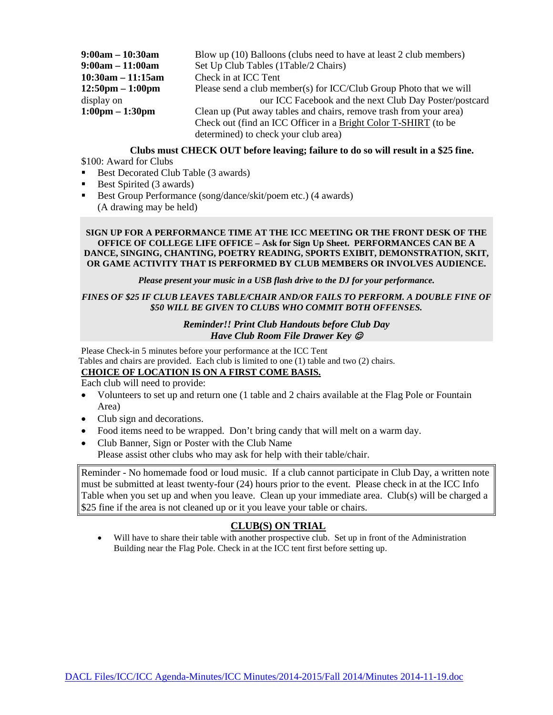| 9:00am – 10:30am                   | Blow up (10) Balloons (clubs need to have at least 2 club members) |
|------------------------------------|--------------------------------------------------------------------|
| $9:00am - 11:00am$                 | Set Up Club Tables (1Table/2 Chairs)                               |
| $10:30am - 11:15am$                | Check in at ICC Tent                                               |
| $12:50 \text{pm} - 1:00 \text{pm}$ | Please send a club member(s) for ICC/Club Group Photo that we will |
| display on                         | our ICC Facebook and the next Club Day Poster/postcard             |
| $1:00 \text{pm} - 1:30 \text{pm}$  | Clean up (Put away tables and chairs, remove trash from your area) |
|                                    | Check out (find an ICC Officer in a Bright Color T-SHIRT (to be    |
|                                    | determined) to check your club area)                               |

#### **Clubs must CHECK OUT before leaving; failure to do so will result in a \$25 fine.**

\$100: Award for Clubs

- Best Decorated Club Table (3 awards)
- Best Spirited (3 awards)
- Best Group Performance (song/dance/skit/poem etc.) (4 awards) (A drawing may be held)

#### **SIGN UP FOR A PERFORMANCE TIME AT THE ICC MEETING OR THE FRONT DESK OF THE OFFICE OF COLLEGE LIFE OFFICE – Ask for Sign Up Sheet. PERFORMANCES CAN BE A DANCE, SINGING, CHANTING, POETRY READING, SPORTS EXIBIT, DEMONSTRATION, SKIT, OR GAME ACTIVITY THAT IS PERFORMED BY CLUB MEMBERS OR INVOLVES AUDIENCE.**

*Please present your music in a USB flash drive to the DJ for your performance.*

#### FINES OF \$25 IF CLUB LEAVES TABLE/CHAIR AND/OR FAILS TO PERFORM. A DOUBLE FINE OF *\$50 WILL BE GIVEN TO CLUBS WHO COMMIT BOTH OFFENSES.*

### *Reminder!! Print Club Handouts before Club Day Have Club Room File Drawer Key*

Please Check-in 5 minutes before your performance at the ICC Tent Tables and chairs are provided. Each club is limited to one (1) table and two (2) chairs.

# **CHOICE OF LOCATION IS ON A FIRST COME BASIS.**

Each club will need to provide:

- Volunteers to set up and return one (1 table and 2 chairs available at the Flag Pole or Fountain Area)
- Club sign and decorations.
- Food items need to be wrapped. Don't bring candy that will melt on a warm day.
- Club Banner, Sign or Poster with the Club Name Please assist other clubs who may ask for help with their table/chair.

Reminder - No homemade food or loud music. If a club cannot participate in Club Day, a written note must be submitted at least twenty-four (24) hours prior to the event. Please check in at the ICC Info Table when you set up and when you leave. Clean up your immediate area. Club(s) will be charged a \$25 fine if the area is not cleaned up or it you leave your table or chairs.

### **CLUB(S) ON TRIAL**

• Will have to share their table with another prospective club. Set up in front of the Administration Building near the Flag Pole. Check in at the ICC tent first before setting up.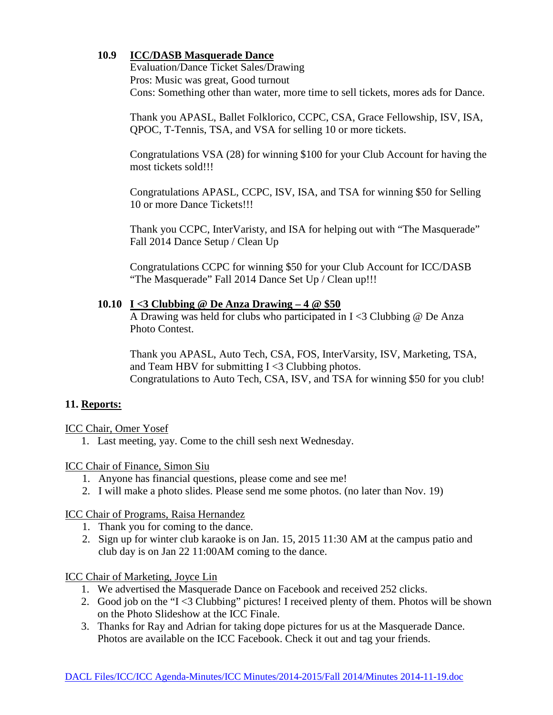# **10.9 ICC/DASB Masquerade Dance**

Evaluation/Dance Ticket Sales/Drawing Pros: Music was great, Good turnout Cons: Something other than water, more time to sell tickets, mores ads for Dance.

Thank you APASL, Ballet Folklorico, CCPC, CSA, Grace Fellowship, ISV, ISA, QPOC, T-Tennis, TSA, and VSA for selling 10 or more tickets.

Congratulations VSA (28) for winning \$100 for your Club Account for having the most tickets sold!!!

Congratulations APASL, CCPC, ISV, ISA, and TSA for winning \$50 for Selling 10 or more Dance Tickets!!!

Thank you CCPC, InterVaristy, and ISA for helping out with "The Masquerade" Fall 2014 Dance Setup / Clean Up

Congratulations CCPC for winning \$50 for your Club Account for ICC/DASB "The Masquerade" Fall 2014 Dance Set Up / Clean up!!!

# **10.10 I <3 Clubbing @ De Anza Drawing – 4 @ \$50**

A Drawing was held for clubs who participated in  $I < 3$  Clubbing  $@$  De Anza Photo Contest.

Thank you APASL, Auto Tech, CSA, FOS, InterVarsity, ISV, Marketing, TSA, and Team HBV for submitting  $I \leq 3$  Clubbing photos. Congratulations to Auto Tech, CSA, ISV, and TSA for winning \$50 for you club!

# **11. Reports:**

ICC Chair, Omer Yosef

1. Last meeting, yay. Come to the chill sesh next Wednesday.

# ICC Chair of Finance, Simon Siu

- 1. Anyone has financial questions, please come and see me!
- 2. I will make a photo slides. Please send me some photos. (no later than Nov. 19)

ICC Chair of Programs, Raisa Hernandez

- 1. Thank you for coming to the dance.
- 2. Sign up for winter club karaoke is on Jan. 15, 2015 11:30 AM at the campus patio and club day is on Jan 22 11:00AM coming to the dance.

ICC Chair of Marketing, Joyce Lin

- 1. We advertised the Masquerade Dance on Facebook and received 252 clicks.
- 2. Good job on the "I <3 Clubbing" pictures! I received plenty of them. Photos will be shown on the Photo Slideshow at the ICC Finale.
- 3. Thanks for Ray and Adrian for taking dope pictures for us at the Masquerade Dance. Photos are available on the ICC Facebook. Check it out and tag your friends.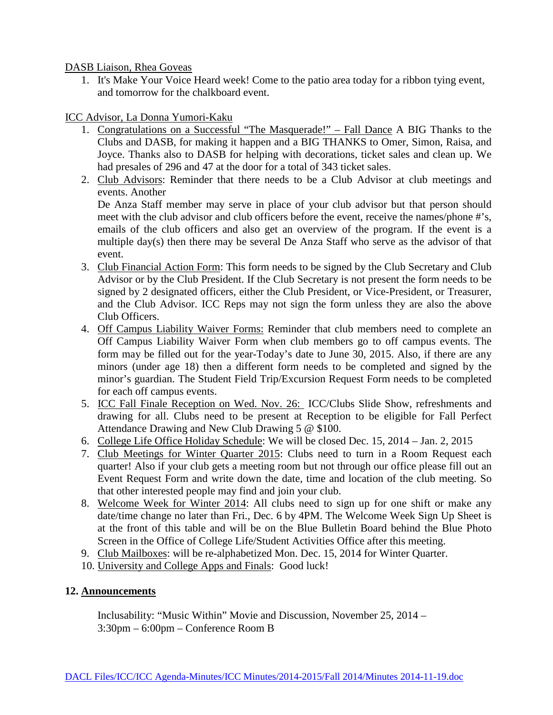DASB Liaison, Rhea Goveas

1. It's Make Your Voice Heard week! Come to the patio area today for a ribbon tying event, and tomorrow for the chalkboard event.

ICC Advisor, La Donna Yumori-Kaku

- 1. Congratulations on a Successful "The Masquerade!" Fall Dance A BIG Thanks to the Clubs and DASB, for making it happen and a BIG THANKS to Omer, Simon, Raisa, and Joyce. Thanks also to DASB for helping with decorations, ticket sales and clean up. We had presales of 296 and 47 at the door for a total of 343 ticket sales.
- 2. Club Advisors: Reminder that there needs to be a Club Advisor at club meetings and events. Another

De Anza Staff member may serve in place of your club advisor but that person should meet with the club advisor and club officers before the event, receive the names/phone #'s, emails of the club officers and also get an overview of the program. If the event is a multiple day(s) then there may be several De Anza Staff who serve as the advisor of that event.

- 3. Club Financial Action Form: This form needs to be signed by the Club Secretary and Club Advisor or by the Club President. If the Club Secretary is not present the form needs to be signed by 2 designated officers, either the Club President, or Vice-President, or Treasurer, and the Club Advisor. ICC Reps may not sign the form unless they are also the above Club Officers.
- 4. Off Campus Liability Waiver Forms: Reminder that club members need to complete an Off Campus Liability Waiver Form when club members go to off campus events. The form may be filled out for the year-Today's date to June 30, 2015. Also, if there are any minors (under age 18) then a different form needs to be completed and signed by the minor's guardian. The Student Field Trip/Excursion Request Form needs to be completed for each off campus events.
- 5. ICC Fall Finale Reception on Wed. Nov. 26: ICC/Clubs Slide Show, refreshments and drawing for all. Clubs need to be present at Reception to be eligible for Fall Perfect Attendance Drawing and New Club Drawing 5 @ \$100.
- 6. College Life Office Holiday Schedule: We will be closed Dec. 15, 2014 Jan. 2, 2015
- 7. Club Meetings for Winter Quarter 2015: Clubs need to turn in a Room Request each quarter! Also if your club gets a meeting room but not through our office please fill out an Event Request Form and write down the date, time and location of the club meeting. So that other interested people may find and join your club.
- 8. Welcome Week for Winter 2014: All clubs need to sign up for one shift or make any date/time change no later than Fri., Dec. 6 by 4PM. The Welcome Week Sign Up Sheet is at the front of this table and will be on the Blue Bulletin Board behind the Blue Photo Screen in the Office of College Life/Student Activities Office after this meeting.
- 9. Club Mailboxes: will be re-alphabetized Mon. Dec. 15, 2014 for Winter Quarter.
- 10. University and College Apps and Finals: Good luck!

### **12. Announcements**

Inclusability: "Music Within" Movie and Discussion, November 25, 2014 – 3:30pm – 6:00pm – Conference Room B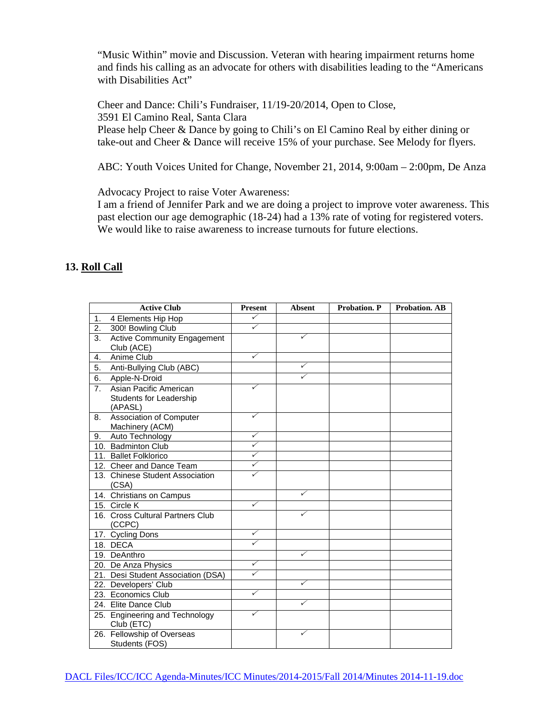"Music Within" movie and Discussion. Veteran with hearing impairment returns home and finds his calling as an advocate for others with disabilities leading to the "Americans with Disabilities Act"

Cheer and Dance: Chili's Fundraiser, 11/19-20/2014, Open to Close, 3591 El Camino Real, Santa Clara Please help Cheer & Dance by going to Chili's on El Camino Real by either dining or take-out and Cheer & Dance will receive 15% of your purchase. See Melody for flyers.

ABC: Youth Voices United for Change, November 21, 2014, 9:00am – 2:00pm, De Anza

Advocacy Project to raise Voter Awareness:

I am a friend of Jennifer Park and we are doing a project to improve voter awareness. This past election our age demographic (18-24) had a 13% rate of voting for registered voters. We would like to raise awareness to increase turnouts for future elections.

|                | <b>Active Club</b>                 | <b>Present</b> | <b>Absent</b> | <b>Probation. P</b> | <b>Probation. AB</b> |
|----------------|------------------------------------|----------------|---------------|---------------------|----------------------|
| 1.             | 4 Elements Hip Hop                 | ✓              |               |                     |                      |
| 2.             | 300! Bowling Club                  | ✓              |               |                     |                      |
| 3.             | <b>Active Community Engagement</b> |                | ✓             |                     |                      |
|                | Club (ACE)                         |                |               |                     |                      |
| 4.             | Anime Club                         | ✓              |               |                     |                      |
| 5.             | Anti-Bullying Club (ABC)           |                | ✓             |                     |                      |
| 6.             | Apple-N-Droid                      |                | $\checkmark$  |                     |                      |
| 7 <sub>1</sub> | Asian Pacific American             | ✓              |               |                     |                      |
|                | Students for Leadership            |                |               |                     |                      |
|                | (APASL)                            |                |               |                     |                      |
| 8.             | <b>Association of Computer</b>     | ✓              |               |                     |                      |
|                | Machinery (ACM)                    |                |               |                     |                      |
| 9.             | Auto Technology                    | ✓              |               |                     |                      |
|                | 10. Badminton Club                 | ✓              |               |                     |                      |
|                | 11. Ballet Folklorico              | ✓              |               |                     |                      |
|                | 12. Cheer and Dance Team           | ✓              |               |                     |                      |
|                | 13. Chinese Student Association    | ✓              |               |                     |                      |
|                | (CSA)                              |                |               |                     |                      |
|                | 14. Christians on Campus           |                | ✓             |                     |                      |
|                | 15. Circle K                       | ✓              |               |                     |                      |
|                | 16. Cross Cultural Partners Club   |                | ✓             |                     |                      |
|                | (CCPC)                             | $\checkmark$   |               |                     |                      |
|                | 17. Cycling Dons                   | $\checkmark$   |               |                     |                      |
|                | 18. DECA                           |                |               |                     |                      |
|                | 19. DeAnthro                       |                | ✓             |                     |                      |
|                | 20. De Anza Physics                | ✓              |               |                     |                      |
|                | 21. Desi Student Association (DSA) | ✓              |               |                     |                      |
|                | 22. Developers' Club               |                | ✓             |                     |                      |
|                | 23. Economics Club                 | ✓              |               |                     |                      |
|                | 24. Elite Dance Club               |                | ✓             |                     |                      |
|                | 25. Engineering and Technology     | $\checkmark$   |               |                     |                      |
|                | Club (ETC)                         |                |               |                     |                      |
|                | 26. Fellowship of Overseas         |                | ✓             |                     |                      |
|                | Students (FOS)                     |                |               |                     |                      |

# **13. Roll Call**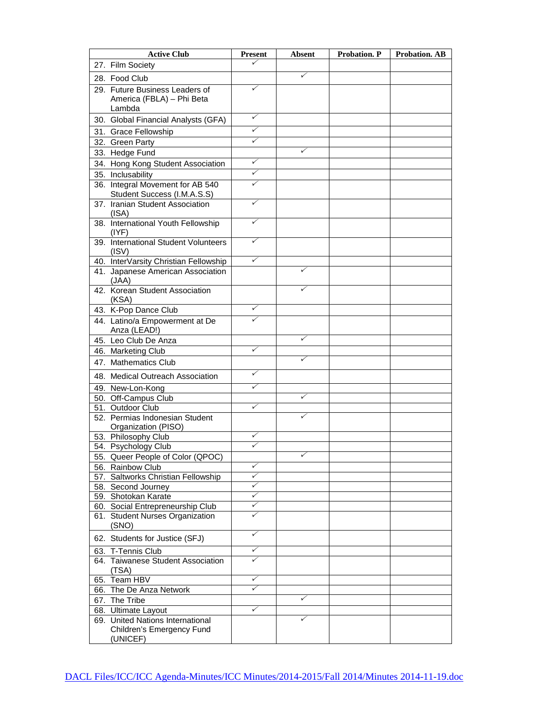| <b>Active Club</b>                                                        | <b>Present</b> | <b>Absent</b> | Probation. P | <b>Probation. AB</b> |
|---------------------------------------------------------------------------|----------------|---------------|--------------|----------------------|
| 27. Film Society                                                          | ✓              |               |              |                      |
| 28. Food Club                                                             |                | ✓             |              |                      |
| 29. Future Business Leaders of<br>America (FBLA) - Phi Beta<br>Lambda     | ✓              |               |              |                      |
| 30. Global Financial Analysts (GFA)                                       | ✓              |               |              |                      |
| 31. Grace Fellowship                                                      | ✓              |               |              |                      |
| 32. Green Party                                                           | ✓              |               |              |                      |
| 33. Hedge Fund                                                            |                | ✓             |              |                      |
| 34. Hong Kong Student Association                                         | ✓              |               |              |                      |
| 35. Inclusability                                                         | ✓<br>✓         |               |              |                      |
| 36. Integral Movement for AB 540<br>Student Success (I.M.A.S.S)           |                |               |              |                      |
| 37. Iranian Student Association<br>(ISA)                                  | ✓              |               |              |                      |
| 38. International Youth Fellowship<br>(IYF)                               | ✓              |               |              |                      |
| 39. International Student Volunteers<br>(ISV)                             | ✓              |               |              |                      |
| 40. InterVarsity Christian Fellowship                                     | ✓              |               |              |                      |
| 41. Japanese American Association<br>(JAA)                                |                | ✓             |              |                      |
| 42. Korean Student Association<br>(KSA)                                   |                | ✓             |              |                      |
| 43. K-Pop Dance Club                                                      | ✓              |               |              |                      |
| 44. Latino/a Empowerment at De<br>Anza (LEAD!)                            | ✓              |               |              |                      |
| 45. Leo Club De Anza                                                      |                | ✓             |              |                      |
| 46. Marketing Club                                                        | ✓              |               |              |                      |
| 47. Mathematics Club                                                      |                |               |              |                      |
| 48. Medical Outreach Association                                          | ✓              |               |              |                      |
| 49. New-Lon-Kong                                                          | ✓              |               |              |                      |
| 50. Off-Campus Club                                                       |                | ✓             |              |                      |
| 51. Outdoor Club                                                          | ✓              |               |              |                      |
| 52. Permias Indonesian Student                                            |                | ✓             |              |                      |
| Organization (PISO)<br>53. Philosophy Club                                | ✓              |               |              |                      |
| 54. Psychology Club                                                       | ✓              |               |              |                      |
| 55. Queer People of Color (QPOC)                                          |                |               |              |                      |
| 56. Rainbow Club                                                          | ✓              |               |              |                      |
| 57. Saltworks Christian Fellowship                                        | ✓              |               |              |                      |
| 58. Second Journey                                                        | ✓              |               |              |                      |
| 59. Shotokan Karate                                                       | ✓              |               |              |                      |
| 60. Social Entrepreneurship Club                                          | ✓              |               |              |                      |
| 61. Student Nurses Organization<br>(SNO)                                  | ✓              |               |              |                      |
| 62. Students for Justice (SFJ)                                            | ✓              |               |              |                      |
| 63. T-Tennis Club                                                         | ✓              |               |              |                      |
| 64. Taiwanese Student Association<br>(TSA)                                |                |               |              |                      |
| 65. Team HBV                                                              | ✓              |               |              |                      |
| 66. The De Anza Network                                                   | ✓              |               |              |                      |
| 67. The Tribe                                                             |                | ✓             |              |                      |
| 68. Ultimate Layout                                                       | ✓              | ✓             |              |                      |
| 69. United Nations International<br>Children's Emergency Fund<br>(UNICEF) |                |               |              |                      |